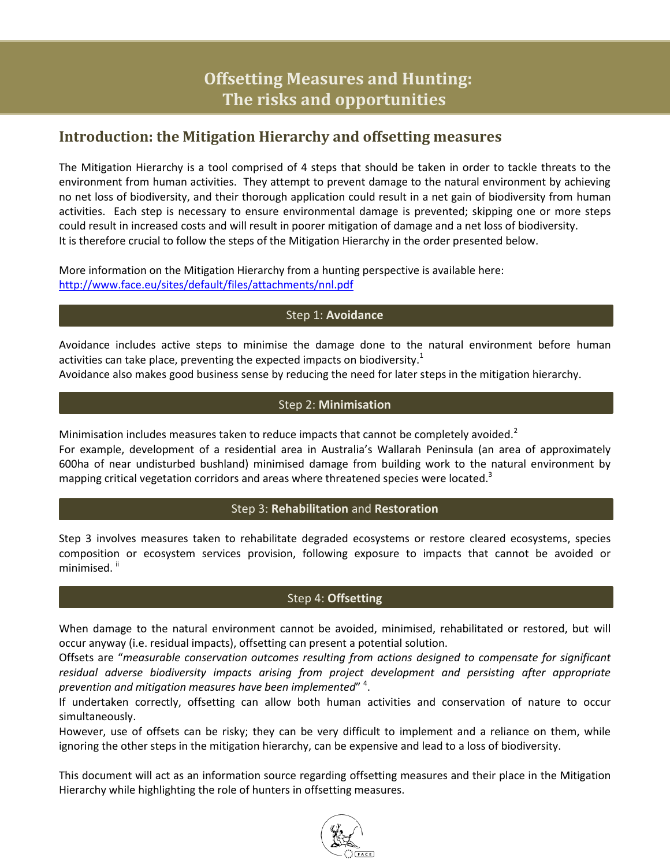# **Offsetting Measures and Hunting: The risks and opportunities**

### **Introduction: the Mitigation Hierarchy and offsetting measures**

The Mitigation Hierarchy is a tool comprised of 4 steps that should be taken in order to tackle threats to the environment from human activities. They attempt to prevent damage to the natural environment by achieving no net loss of biodiversity, and their thorough application could result in a net gain of biodiversity from human activities. Each step is necessary to ensure environmental damage is prevented; skipping one or more steps could result in increased costs and will result in poorer mitigation of damage and a net loss of biodiversity. It is therefore crucial to follow the steps of the Mitigation Hierarchy in the order presented below.

More information on the Mitigation Hierarchy from a hunting perspective is available here: <http://www.face.eu/sites/default/files/attachments/nnl.pdf>

#### Step 1: **Avoidance**

Avoidance includes active steps to minimise the damage done to the natural environment before human activities can take place, preventing the expected impacts on biodiversity.<sup>1</sup>

Avoidance also makes good business sense by reducing the need for later steps in the mitigation hierarchy.

#### Step 2: **Minimisation**

Minimisation includes measures taken to reduce impacts that cannot be completely avoided.<sup>2</sup> For example, development of a residential area in Australia's Wallarah Peninsula (an area of approximately 600ha of near undisturbed bushland) minimised damage from building work to the natural environment by mapping critical vegetation corridors and areas where threatened species were located.<sup>3</sup>

#### Step 3: **Rehabilitation** and **Restoration**

Step 3 involves measures taken to rehabilitate degraded ecosystems or restore cleared ecosystems, species composition or ecosystem services provision, following exposure to impacts that cannot be avoided or minimised.<sup>ii</sup>

#### Step 4: **Offsetting**

When damage to the natural environment cannot be avoided, minimised, rehabilitated or restored, but will occur anyway (i.e. residual impacts), offsetting can present a potential solution.

Offsets are "*measurable conservation outcomes resulting from actions designed to compensate for significant residual adverse biodiversity impacts arising from project development and persisting after appropriate prevention and mitigation measures have been implemented*" 4 .

If undertaken correctly, offsetting can allow both human activities and conservation of nature to occur simultaneously.

However, use of offsets can be risky; they can be very difficult to implement and a reliance on them, while ignoring the other steps in the mitigation hierarchy, can be expensive and lead to a loss of biodiversity.

This document will act as an information source regarding offsetting measures and their place in the Mitigation Hierarchy while highlighting the role of hunters in offsetting measures.

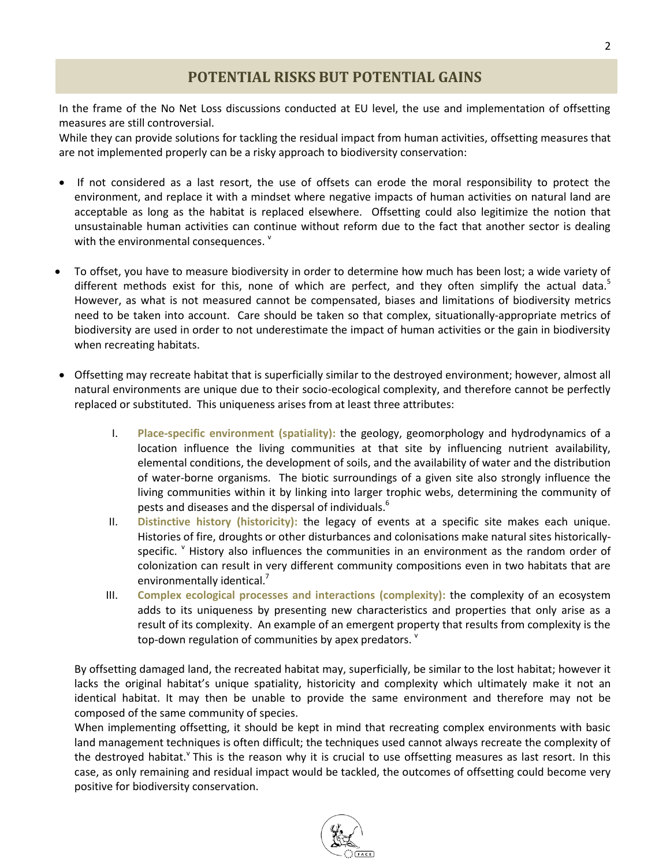# **POTENTIAL RISKS BUT POTENTIAL GAINS**

In the frame of the No Net Loss discussions conducted at EU level, the use and implementation of offsetting measures are still controversial.

While they can provide solutions for tackling the residual impact from human activities, offsetting measures that are not implemented properly can be a risky approach to biodiversity conservation:

- If not considered as a last resort, the use of offsets can erode the moral responsibility to protect the environment, and replace it with a mindset where negative impacts of human activities on natural land are acceptable as long as the habitat is replaced elsewhere. Offsetting could also legitimize the notion that unsustainable human activities can continue without reform due to the fact that another sector is dealing with the environmental consequences.  $^{\text{v}}$
- To offset, you have to measure biodiversity in order to determine how much has been lost; a wide variety of different methods exist for this, none of which are perfect, and they often simplify the actual data.<sup>5</sup> However, as what is not measured cannot be compensated, biases and limitations of biodiversity metrics need to be taken into account. Care should be taken so that complex, situationally-appropriate metrics of biodiversity are used in order to not underestimate the impact of human activities or the gain in biodiversity when recreating habitats.
- Offsetting may recreate habitat that is superficially similar to the destroyed environment; however, almost all natural environments are unique due to their socio-ecological complexity, and therefore cannot be perfectly replaced or substituted. This uniqueness arises from at least three attributes:
	- I. **Place-specific environment (spatiality):** the geology, geomorphology and hydrodynamics of a location influence the living communities at that site by influencing nutrient availability, elemental conditions, the development of soils, and the availability of water and the distribution of water-borne organisms. The biotic surroundings of a given site also strongly influence the living communities within it by linking into larger trophic webs, determining the community of pests and diseases and the dispersal of individuals.<sup>6</sup>
	- II. **Distinctive history (historicity):** the legacy of events at a specific site makes each unique. Histories of fire, droughts or other disturbances and colonisations make natural sites historicallyspecific. <sup>v</sup> History also influences the communities in an environment as the random order of colonization can result in very different community compositions even in two habitats that are environmentally identical.<sup>7</sup>
	- III. **Complex ecological processes and interactions (complexity):** the complexity of an ecosystem adds to its uniqueness by presenting new characteristics and properties that only arise as a result of its complexity. An example of an emergent property that results from complexity is the top-down regulation of communities by apex predators.  $^{\vee}$

By offsetting damaged land, the recreated habitat may, superficially, be similar to the lost habitat; however it lacks the original habitat's unique spatiality, historicity and complexity which ultimately make it not an identical habitat. It may then be unable to provide the same environment and therefore may not be composed of the same community of species.

When implementing offsetting, it should be kept in mind that recreating complex environments with basic land management techniques is often difficult; the techniques used cannot always recreate the complexity of the destroyed habitat.<sup>Y</sup> This is the reason why it is crucial to use offsetting measures as last resort. In this case, as only remaining and residual impact would be tackled, the outcomes of offsetting could become very positive for biodiversity conservation.

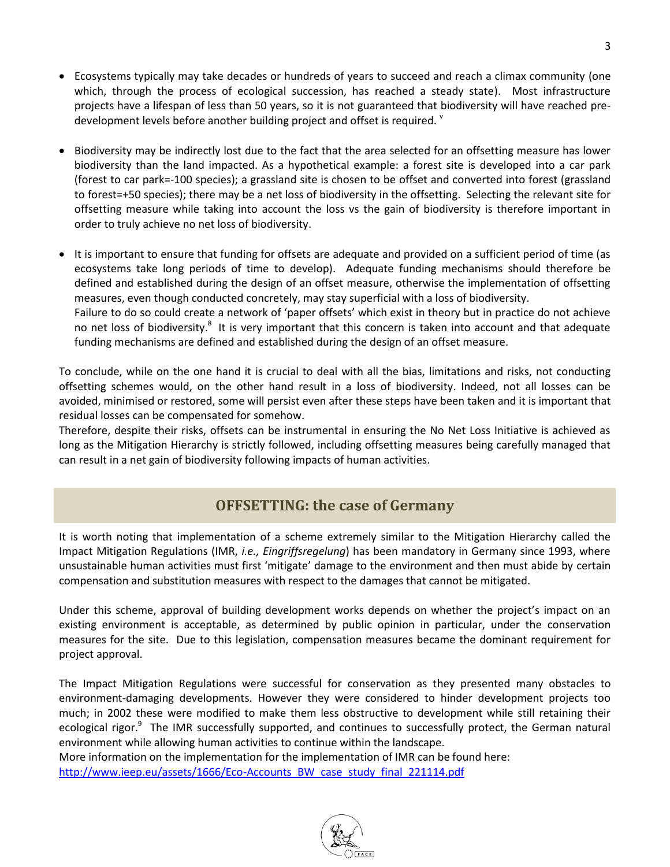- Ecosystems typically may take decades or hundreds of years to succeed and reach a climax community (one which, through the process of ecological succession, has reached a steady state). Most infrastructure projects have a lifespan of less than 50 years, so it is not guaranteed that biodiversity will have reached predevelopment levels before another building project and offset is required. <sup>v</sup>
- Biodiversity may be indirectly lost due to the fact that the area selected for an offsetting measure has lower biodiversity than the land impacted. As a hypothetical example: a forest site is developed into a car park (forest to car park=-100 species); a grassland site is chosen to be offset and converted into forest (grassland to forest=+50 species); there may be a net loss of biodiversity in the offsetting. Selecting the relevant site for offsetting measure while taking into account the loss vs the gain of biodiversity is therefore important in order to truly achieve no net loss of biodiversity.
- It is important to ensure that funding for offsets are adequate and provided on a sufficient period of time (as ecosystems take long periods of time to develop). Adequate funding mechanisms should therefore be defined and established during the design of an offset measure, otherwise the implementation of offsetting measures, even though conducted concretely, may stay superficial with a loss of biodiversity. Failure to do so could create a network of 'paper offsets' which exist in theory but in practice do not achieve no net loss of biodiversity.<sup>8</sup> It is very important that this concern is taken into account and that adequate funding mechanisms are defined and established during the design of an offset measure.

To conclude, while on the one hand it is crucial to deal with all the bias, limitations and risks, not conducting offsetting schemes would, on the other hand result in a loss of biodiversity. Indeed, not all losses can be avoided, minimised or restored, some will persist even after these steps have been taken and it is important that residual losses can be compensated for somehow.

Therefore, despite their risks, offsets can be instrumental in ensuring the No Net Loss Initiative is achieved as long as the Mitigation Hierarchy is strictly followed, including offsetting measures being carefully managed that can result in a net gain of biodiversity following impacts of human activities.

### **OFFSETTING: the case of Germany**

It is worth noting that implementation of a scheme extremely similar to the Mitigation Hierarchy called the Impact Mitigation Regulations (IMR, *i.e., Eingriffsregelung*) has been mandatory in Germany since 1993, where unsustainable human activities must first 'mitigate' damage to the environment and then must abide by certain compensation and substitution measures with respect to the damages that cannot be mitigated.

Under this scheme, approval of building development works depends on whether the project's impact on an existing environment is acceptable, as determined by public opinion in particular, under the conservation measures for the site. Due to this legislation, compensation measures became the dominant requirement for project approval.

The Impact Mitigation Regulations were successful for conservation as they presented many obstacles to environment-damaging developments. However they were considered to hinder development projects too much; in 2002 these were modified to make them less obstructive to development while still retaining their ecological rigor.<sup>9</sup> The IMR successfully supported, and continues to successfully protect, the German natural environment while allowing human activities to continue within the landscape.

More information on the implementation for the implementation of IMR can be found here: [http://www.ieep.eu/assets/1666/Eco-Accounts\\_BW\\_case\\_study\\_final\\_221114.pdf](http://www.ieep.eu/assets/1666/Eco-Accounts_BW_case_study_final_221114.pdf)

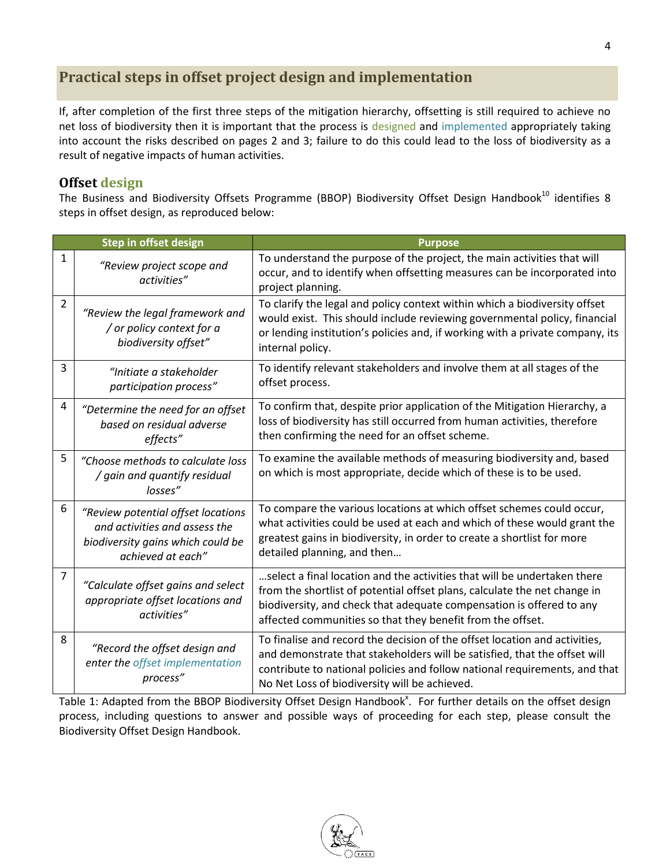# **Practical steps in offset project design and implementation**

If, after completion of the first three steps of the mitigation hierarchy, offsetting is still required to achieve no net loss of biodiversity then it is important that the process is designed and implemented appropriately taking into account the risks described on pages 2 and 3; failure to do this could lead to the loss of biodiversity as a result of negative impacts of human activities.

### **Offset design**

The Business and Biodiversity Offsets Programme (BBOP) Biodiversity Offset Design Handbook<sup>10</sup> identifies 8 steps in offset design, as reproduced below:

| Step in offset design |                                                                                                                               | <b>Purpose</b>                                                                                                                                                                                                                                                                              |
|-----------------------|-------------------------------------------------------------------------------------------------------------------------------|---------------------------------------------------------------------------------------------------------------------------------------------------------------------------------------------------------------------------------------------------------------------------------------------|
| 1                     | "Review project scope and<br>activities"                                                                                      | To understand the purpose of the project, the main activities that will<br>occur, and to identify when offsetting measures can be incorporated into<br>project planning.                                                                                                                    |
| 2                     | "Review the legal framework and<br>/ or policy context for a<br>biodiversity offset"                                          | To clarify the legal and policy context within which a biodiversity offset<br>would exist. This should include reviewing governmental policy, financial<br>or lending institution's policies and, if working with a private company, its<br>internal policy.                                |
| 3                     | "Initiate a stakeholder<br>participation process"                                                                             | To identify relevant stakeholders and involve them at all stages of the<br>offset process.                                                                                                                                                                                                  |
| 4                     | "Determine the need for an offset<br>based on residual adverse<br>effects"                                                    | To confirm that, despite prior application of the Mitigation Hierarchy, a<br>loss of biodiversity has still occurred from human activities, therefore<br>then confirming the need for an offset scheme.                                                                                     |
| 5                     | "Choose methods to calculate loss<br>/ gain and quantify residual<br>losses"                                                  | To examine the available methods of measuring biodiversity and, based<br>on which is most appropriate, decide which of these is to be used.                                                                                                                                                 |
| 6                     | "Review potential offset locations<br>and activities and assess the<br>biodiversity gains which could be<br>achieved at each" | To compare the various locations at which offset schemes could occur,<br>what activities could be used at each and which of these would grant the<br>greatest gains in biodiversity, in order to create a shortlist for more<br>detailed planning, and then                                 |
| $\overline{7}$        | "Calculate offset gains and select<br>appropriate offset locations and<br>activities"                                         | select a final location and the activities that will be undertaken there<br>from the shortlist of potential offset plans, calculate the net change in<br>biodiversity, and check that adequate compensation is offered to any<br>affected communities so that they benefit from the offset. |
| 8                     | "Record the offset design and<br>enter the offset implementation<br>process"                                                  | To finalise and record the decision of the offset location and activities,<br>and demonstrate that stakeholders will be satisfied, that the offset will<br>contribute to national policies and follow national requirements, and that<br>No Net Loss of biodiversity will be achieved.      |

Table 1: Adapted from the BBOP Biodiversity Offset Design Handbook<sup>x</sup>. For further details on the offset design process, including questions to answer and possible ways of proceeding for each step, please consult the Biodiversity Offset Design Handbook.

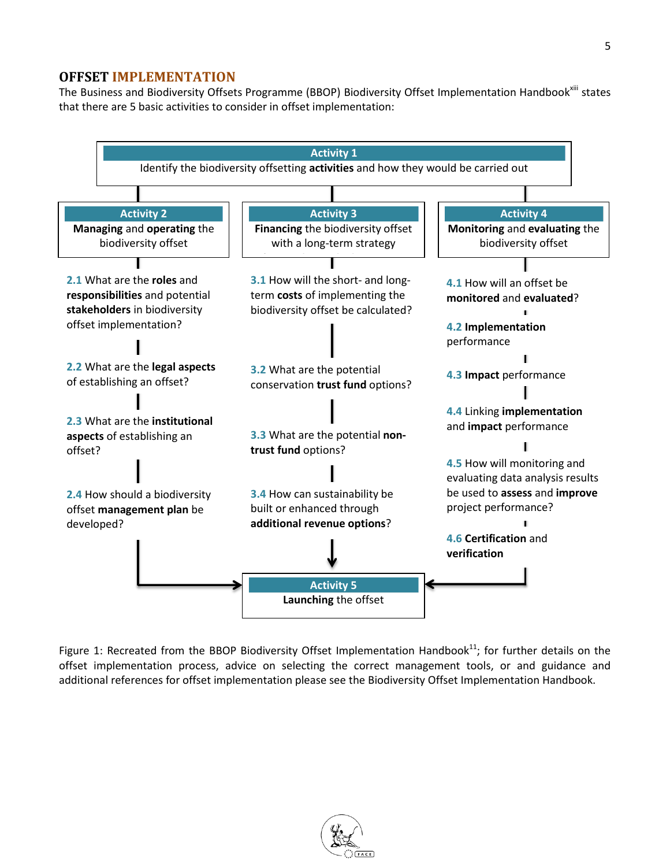### **OFFSET IMPLEMENTATION**

The Business and Biodiversity Offsets Programme (BBOP) Biodiversity Offset Implementation Handbook<sup>xiii</sup> states that there are 5 basic activities to consider in offset implementation:



Figure 1: Recreated from the BBOP Biodiversity Offset Implementation Handbook $^{11}$ ; for further details on the offset implementation process, advice on selecting the correct management tools, or and guidance and additional references for offset implementation please see the Biodiversity Offset Implementation Handbook.

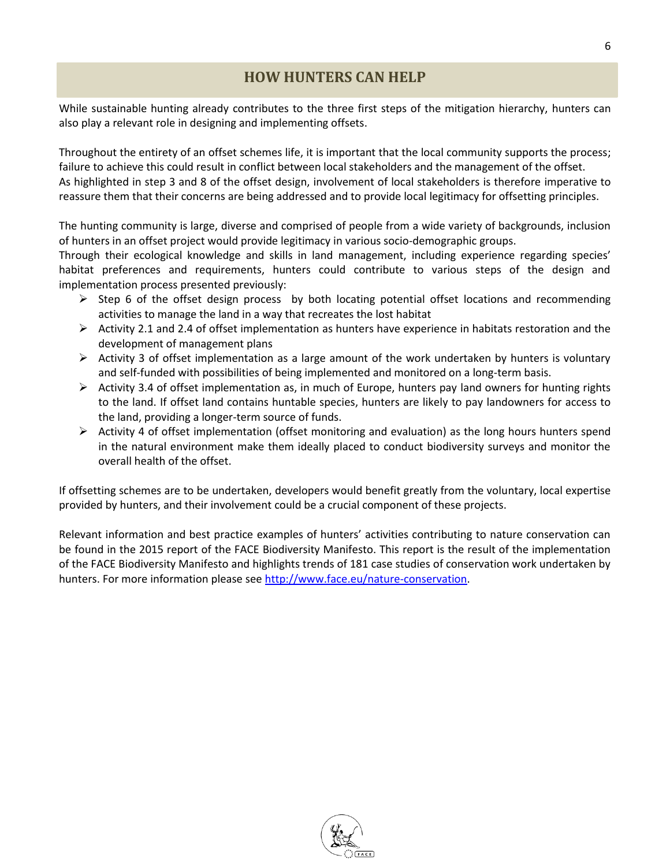## **HOW HUNTERS CAN HELP**

While sustainable hunting already contributes to the three first steps of the mitigation hierarchy, hunters can also play a relevant role in designing and implementing offsets.

Throughout the entirety of an offset schemes life, it is important that the local community supports the process; failure to achieve this could result in conflict between local stakeholders and the management of the offset. As highlighted in step 3 and 8 of the offset design, involvement of local stakeholders is therefore imperative to reassure them that their concerns are being addressed and to provide local legitimacy for offsetting principles.

The hunting community is large, diverse and comprised of people from a wide variety of backgrounds, inclusion of hunters in an offset project would provide legitimacy in various socio-demographic groups.

Through their ecological knowledge and skills in land management, including experience regarding species' habitat preferences and requirements, hunters could contribute to various steps of the design and implementation process presented previously:

- $\triangleright$  Step 6 of the offset design process by both locating potential offset locations and recommending activities to manage the land in a way that recreates the lost habitat
- $\triangleright$  Activity 2.1 and 2.4 of offset implementation as hunters have experience in habitats restoration and the development of management plans
- $\triangleright$  Activity 3 of offset implementation as a large amount of the work undertaken by hunters is voluntary and self-funded with possibilities of being implemented and monitored on a long-term basis.
- $\triangleright$  Activity 3.4 of offset implementation as, in much of Europe, hunters pay land owners for hunting rights to the land. If offset land contains huntable species, hunters are likely to pay landowners for access to the land, providing a longer-term source of funds.
- $\triangleright$  Activity 4 of offset implementation (offset monitoring and evaluation) as the long hours hunters spend in the natural environment make them ideally placed to conduct biodiversity surveys and monitor the overall health of the offset.

If offsetting schemes are to be undertaken, developers would benefit greatly from the voluntary, local expertise provided by hunters, and their involvement could be a crucial component of these projects.

Relevant information and best practice examples of hunters' activities contributing to nature conservation can be found in the 2015 report of the FACE Biodiversity Manifesto. This report is the result of the implementation of the FACE Biodiversity Manifesto and highlights trends of 181 case studies of conservation work undertaken by hunters. For more information please see [http://www.face.eu/nature-conservation.](http://www.face.eu/nature-conservation)